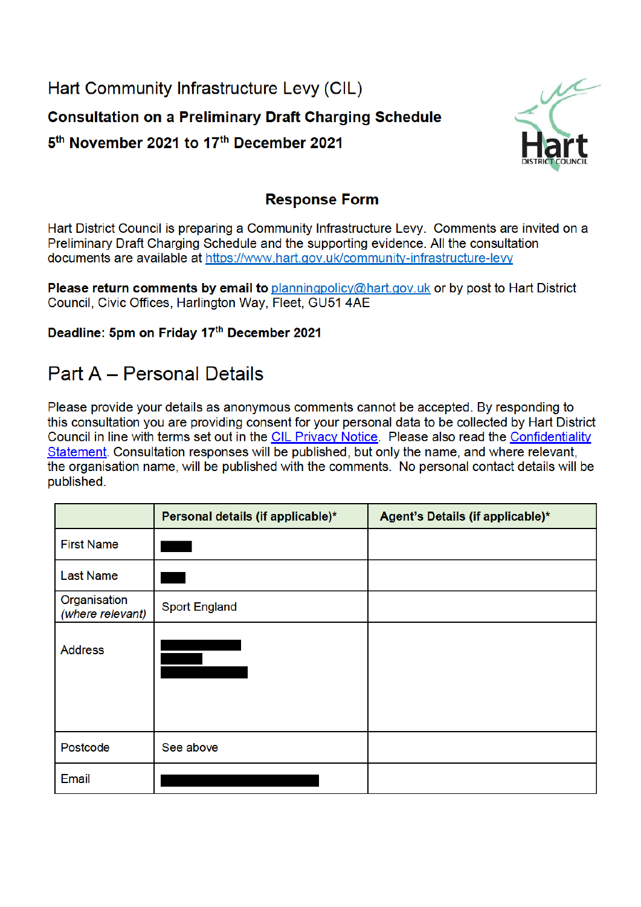Hart Community Infrastructure Levy (CIL) **Consultation on a Preliminary Draft Charging Schedule** 5<sup>th</sup> November 2021 to 17<sup>th</sup> December 2021



## **Response Form**

Hart District Council is preparing a Community Infrastructure Levy. Comments are invited on a Preliminary Draft Charging Schedule and the supporting evidence. All the consultation documents are available at https://www.hart.gov.uk/community-infrastructure-levy

Please return comments by email to planningpolicy@hart.gov.uk or by post to Hart District Council, Civic Offices, Harlington Way, Fleet, GU51 4AE

Deadline: 5pm on Friday 17th December 2021

## **Part A - Personal Details**

Please provide your details as anonymous comments cannot be accepted. By responding to this consultation you are providing consent for your personal data to be collected by Hart District Council in line with terms set out in the CIL Privacy Notice. Please also read the Confidentiality Statement. Consultation responses will be published, but only the name, and where relevant, the organisation name, will be published with the comments. No personal contact details will be published.

|                                  | Personal details (if applicable)* | Agent's Details (if applicable)* |
|----------------------------------|-----------------------------------|----------------------------------|
| <b>First Name</b>                |                                   |                                  |
| <b>Last Name</b>                 |                                   |                                  |
| Organisation<br>(where relevant) | <b>Sport England</b>              |                                  |
| <b>Address</b>                   |                                   |                                  |
| Postcode                         | See above                         |                                  |
| Email                            |                                   |                                  |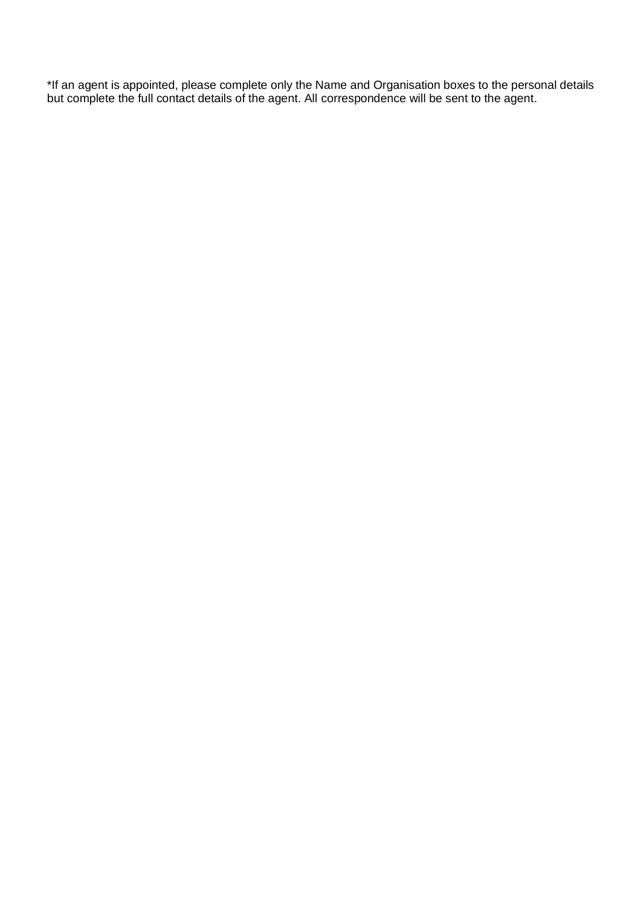\*If an agent is appointed, please complete only the Name and Organisation boxes to the personal details but complete the full contact details of the agent. All correspondence will be sent to the agent.